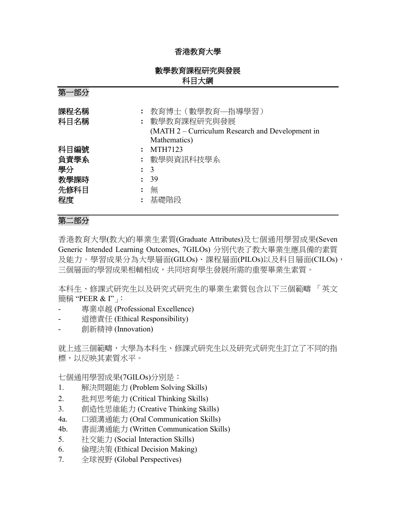### 香港教育大學

### 數學教育課程研究與發展 科目大綱

| 第一部分                         |                                                                                         |
|------------------------------|-----------------------------------------------------------------------------------------|
| 課程名稱<br>科目名稱                 | : 教育博士(數學教育——指導學習)<br>: 數學教育課程研究與發展<br>(MATH 2 – Curriculum Research and Development in |
|                              | Mathematics)                                                                            |
| 科目編號<br>$\ddot{\cdot}$       | MTH7123                                                                                 |
| 負責學系                         | : 數學與資訊科技學系                                                                             |
| 學分                           | $\colon$ 3                                                                              |
| 教學課時<br>$\ddot{\phantom{a}}$ | 39                                                                                      |
| 先修科目                         | 無                                                                                       |
| 程度<br>$\ddot{\cdot}$         | 基礎階段                                                                                    |

# 第二部分

香港教育大學(教大)的畢業生素質(Graduate Attributes)及七個通用學習成果(Seven Generic Intended Learning Outcomes, 7GILOs) 分別代表了教大畢業生應具備的素質 及能力。學習成果分為大學層面(GILOs)、課程層面(PILOs)以及科目層面(CILOs), 三個層面的學習成果相輔相成,共同培育學生發展所需的重要畢業生素質。

本科生、修課式研究生以及研究式研究生的畢業生素質包含以下三個範疇 「英文 簡稱 "PEER & I"」:

- 專業卓越 (Professional Excellence)
- 道德責任 (Ethical Responsibility)
- 創新精神 (Innovation)

就上述三個範疇,大學為本科生、修課式研究生以及研究式研究生訂立了不同的指 標,以反映其素質水平。

七個通用學習成果(7GILOs)分別是:

- 1. 解決問題能力 (Problem Solving Skills)
- 2. 批判思考能力 (Critical Thinking Skills)
- 3. 創造性思維能力 (Creative Thinking Skills)
- 4a. 口頭溝通能力 (Oral Communication Skills)
- 4b. 書面溝通能力 (Written Communication Skills)
- 5. 社交能力 (Social Interaction Skills)
- 6. 倫理決策 (Ethical Decision Making)
- 7. 全球視野 (Global Perspectives)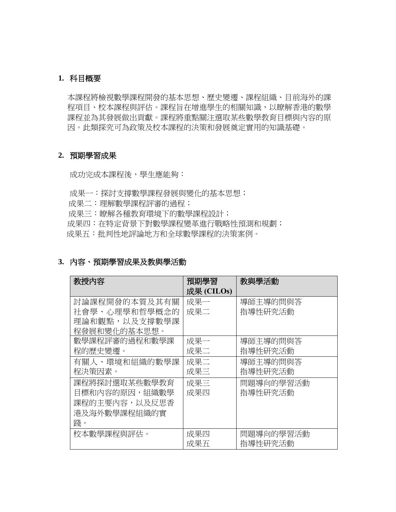### **1.** 科目概要

本課程將檢視數學課程開發的基本思想、歷史變遷、課程組織、目前海外的課 程項目、校本課程與評估。課程旨在增進學生的相關知識,以瞭解香港的數學 課程並為其發展做出貢獻。課程將重點關注選取某些數學教育目標與內容的原 因。此類探究可為政策及校本課程的決策和發展奠定實用的知識基礎。

#### **2.** 預期學習成果

成功完成本課程後,學生應能夠:

成果一:探討支撐數學課程發展與變化的基本思想;

- 成果二:理解數學課程評審的過程;
- 成果三:瞭解各種教育環境下的數學課程設計;

成果四:在特定背景下對數學課程變革進行戰略性預測和規劃;

成果五:批判性地評論地方和全球數學課程的決策案例。

#### **3.** 內容、預期學習成果及教與學活動

| 教授内容          | 預期學習       | 教與學活動     |
|---------------|------------|-----------|
|               | 成果 (CILOs) |           |
| 討論課程開發的本質及其有關 | 成果一        | 導師主導的問與答  |
| 社會學、心理學和哲學概念的 | 成果二        | 指導性研究活動   |
| 理論和觀點,以及支撐數學課 |            |           |
| 程發展和變化的基本思想。  |            |           |
| 數學課程評審的過程和數學課 | 成果一        | 導師主導的問與答  |
| 程的歷史變遷。       | 成果二        | 指導性研究活動   |
| 有關人、環境和組織的數學課 | 成果二        | 導師主導的問與答  |
| 程決策因素。        | 成果三        | 指導性研究活動   |
| 課程將探討選取某些數學教育 | 成果三        | 問題導向的學習活動 |
| 目標和內容的原因,組織數學 | 成果四        | 指導性研究活動   |
| 課程的主要內容,以及反思香 |            |           |
| 港及海外數學課程組織的實  |            |           |
| 踐。            |            |           |
| 校本數學課程與評估。    | 成果四        | 問題導向的學習活動 |
|               | 成果五        | 指導性研究活動   |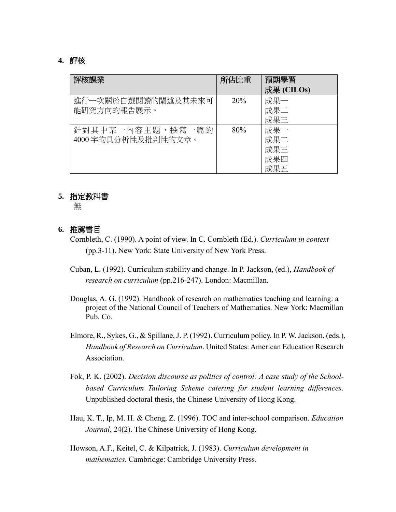### **4.** 評核

| 評核課業                                    | 所佔比重            | 預期學習<br>成果 (CILOs)              |
|-----------------------------------------|-----------------|---------------------------------|
| 進行一次關於自選閱讀的闡述及其未來可<br>能研究方向的報告展示。       | 20 <sup>%</sup> | 成果一<br>成果二<br>成果三               |
| 針對其中某一內容主題,撰寫一篇約<br>4000 字的具分析性及批判性的文章。 | 80%             | 成果一<br>成果二<br>成果三<br>成果四<br>成果五 |

#### **5.** 指定教科書

無

### **6.** 推薦書目

- Cornbleth, C. (1990). A point of view. In C. Cornbleth (Ed.). *Curriculum in context* (pp.3-11). New York: State University of New York Press.
- Cuban, L. (1992). Curriculum stability and change. In P. Jackson, (ed.), *Handbook of research on curriculum* (pp.216-247). London: Macmillan.
- Douglas, A. G. (1992). Handbook of research on mathematics teaching and learning: a project of the National Council of Teachers of Mathematics. New York: Macmillan Pub. Co.
- Elmore, R., Sykes, G., & Spillane, J. P. (1992). Curriculum policy. In P. W. Jackson, (eds.), *Handbook of Research on Curriculum*. United States: American Education Research Association.
- Fok, P. K. (2002). *Decision discourse as politics of control: A case study of the Schoolbased Curriculum Tailoring Scheme catering for student learning differences*. Unpublished doctoral thesis, the Chinese University of Hong Kong.
- Hau, K. T., Ip, M. H. & Cheng, Z. (1996). TOC and inter-school comparison. *Education Journal,* 24(2). The Chinese University of Hong Kong.
- Howson, A.F., Keitel, C. & Kilpatrick, J. (1983). *Curriculum development in mathematics.* Cambridge: Cambridge University Press.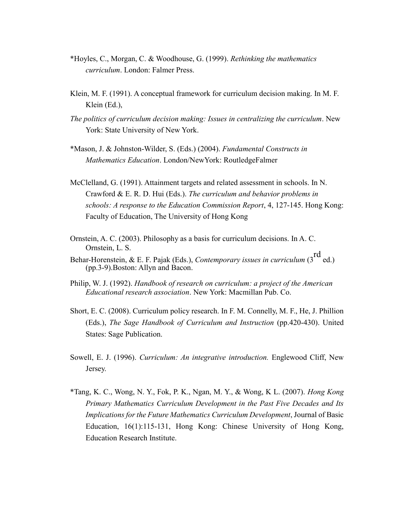- \*Hoyles, C., Morgan, C. & Woodhouse, G. (1999). *Rethinking the mathematics curriculum*. London: Falmer Press.
- Klein, M. F. (1991). A conceptual framework for curriculum decision making. In M. F. Klein (Ed.),
- *The politics of curriculum decision making: Issues in centralizing the curriculum*. New York: State University of New York.
- \*Mason, J. & Johnston-Wilder, S. (Eds.) (2004). *Fundamental Constructs in Mathematics Education*. London/NewYork: RoutledgeFalmer
- McClelland, G. (1991). Attainment targets and related assessment in schools. In N. Crawford & E. R. D. Hui (Eds.). *The curriculum and behavior problems in schools: A response to the Education Commission Report*, 4, 127-145. Hong Kong: Faculty of Education, The University of Hong Kong
- Ornstein, A. C. (2003). Philosophy as a basis for curriculum decisions. In A. C. Ornstein, L. S.
- Behar-Horenstein, & E. F. Pajak (Eds.), *Contemporary issues in curriculum* (3<sup>rd</sup> ed.) (pp.3-9).Boston: Allyn and Bacon.
- Philip, W. J. (1992). *Handbook of research on curriculum: a project of the American Educational research association*. New York: Macmillan Pub. Co.
- Short, E. C. (2008). Curriculum policy research. In F. M. Connelly, M. F., He, J. Phillion (Eds.), *The Sage Handbook of Curriculum and Instruction* (pp.420-430). United States: Sage Publication.
- Sowell, E. J. (1996). *Curriculum: An integrative introduction.* Englewood Cliff, New Jersey.
- \*Tang, K. C., Wong, N. Y., Fok, P. K., Ngan, M. Y., & Wong, K L. (2007). *Hong Kong Primary Mathematics Curriculum Development in the Past Five Decades and Its Implications for the Future Mathematics Curriculum Development*, Journal of Basic Education, 16(1):115-131, Hong Kong: Chinese University of Hong Kong, Education Research Institute.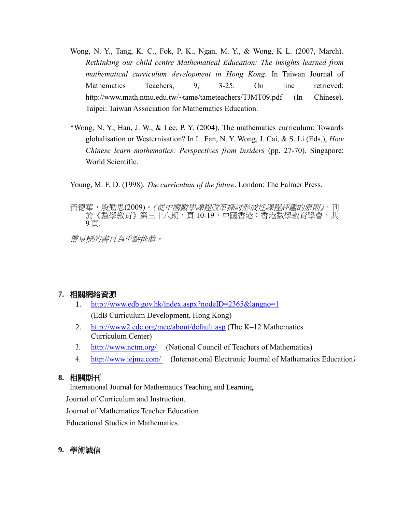- Wong, N. Y., Tang, K. C., Fok, P. K., Ngan, M. Y., & Wong, K L. (2007, March). *Rethinking our child centre Mathematical Education: The insights learned from mathematical curriculum development in Hong Kong.* In Taiwan Journal of Mathematics Teachers, 9, 3-25. On line retrieved: http://www.math.ntnu.edu.tw/~tame/tameteachers/TJMT09.pdf (In Chinese). Taipei: Taiwan Association for Mathematics Education.
- \*Wong, N. Y., Han, J. W., & Lee, P. Y. (2004). The mathematics curriculum: Towards globalisation or Westernisation? In L. Fan, N. Y. Wong, J. Cai, & S. Li (Eds.), *How Chinese learn mathematics: Perspectives from insiders* (pp. 27-70). Singapore: World Scientific.

Young, M. F. D. (1998). *The curriculum of the future*. London: The Falmer Press.

黃德華,殷勤思(2009)。*《從中國數學課程改革探討形成性課程評鑑的原則》*。刊 於《數學教育》第三十八期,頁 10-19,中國香港:香港數學教育學會,共 9 頁.

帶星標的書目為重點推薦。

### **7.** 相關網絡資源

- 1. <http://www.edb.gov.hk/index.aspx?nodeID=2365&langno=1> (EdB Curriculum Development, Hong Kong)
- 2. <http://www2.edc.org/mcc/about/default.asp> (The K–12 Mathematics Curriculum Center)
- 3. <http://www.nctm.org/> (National Council of Teachers of Mathematics)
- 4. <http://www.iejme.com/> (International Electronic Journal of Mathematics Education*)*

# **8.** 相關期刊

International Journal for Mathematics Teaching and Learning.

Journal of Curriculum and Instruction.

Journal of Mathematics Teacher Education

Educational Studies in Mathematics.

# **9.** 學術誠信